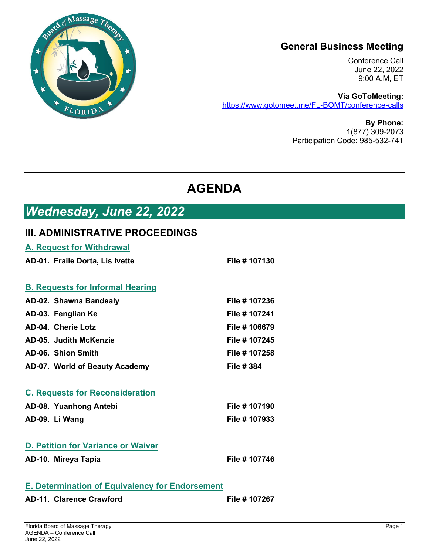

### **General Business Meeting**

Conference Call June 22, 2022 9:00 A.M, ET

**Via GoToMeeting:**  https://www.gotomeet.me/FL-BOMT/conference-calls

> **By Phone:**  1(877) 309-2073 Participation Code: 985-532-741

# **AGENDA**

# *Wednesday, June 22, 2022*

#### **III. ADMINISTRATIVE PROCEEDINGS**

| <b>A. Request for Withdrawal</b>                       |                   |
|--------------------------------------------------------|-------------------|
| AD-01. Fraile Dorta, Lis Ivette                        | File # 107130     |
|                                                        |                   |
| <b>B. Requests for Informal Hearing</b>                |                   |
| AD-02. Shawna Bandealy                                 | File # 107236     |
| AD-03. Fenglian Ke                                     | File # 107241     |
| AD-04. Cherie Lotz                                     | File # 106679     |
| AD-05. Judith McKenzie                                 | File # 107245     |
| AD-06. Shion Smith                                     | File # 107258     |
| AD-07. World of Beauty Academy                         | <b>File # 384</b> |
|                                                        |                   |
| <b>C. Requests for Reconsideration</b>                 |                   |
| AD-08. Yuanhong Antebi                                 | File # 107190     |
| AD-09. Li Wang                                         | File # 107933     |
|                                                        |                   |
| <b>D. Petition for Variance or Waiver</b>              |                   |
| AD-10. Mireya Tapia                                    | File # 107746     |
|                                                        |                   |
| <b>E. Determination of Equivalency for Endorsement</b> |                   |

AD-11. Clarence Crawford **File # 107267**